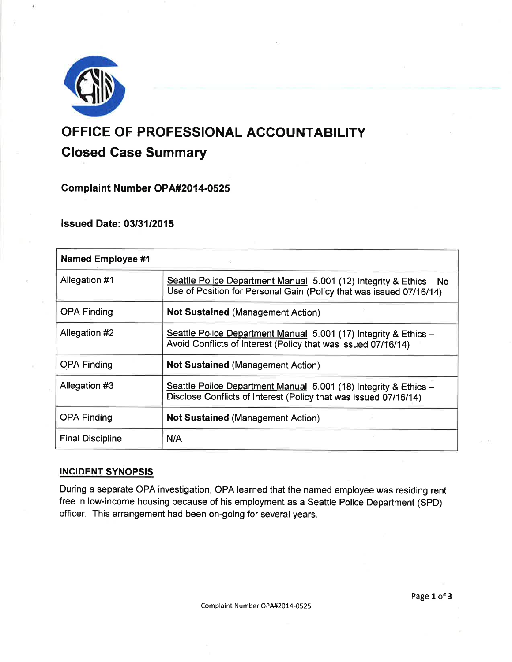

# OFFICE OF PROFESSIONAL ACCOUNTABILITY Closed Gase Summary

Complaint Number OPA#2014-0525

lssued Date: 0313112015

| <b>Named Employee #1</b> |                                                                                                                                            |
|--------------------------|--------------------------------------------------------------------------------------------------------------------------------------------|
| Allegation #1            | Seattle Police Department Manual 5.001 (12) Integrity & Ethics - No<br>Use of Position for Personal Gain (Policy that was issued 07/16/14) |
| <b>OPA Finding</b>       | <b>Not Sustained (Management Action)</b>                                                                                                   |
| Allegation #2            | Seattle Police Department Manual 5.001 (17) Integrity & Ethics -<br>Avoid Conflicts of Interest (Policy that was issued 07/16/14)          |
| <b>OPA Finding</b>       | <b>Not Sustained (Management Action)</b>                                                                                                   |
| Allegation #3            | Seattle Police Department Manual 5.001 (18) Integrity & Ethics -<br>Disclose Conflicts of Interest (Policy that was issued 07/16/14)       |
| <b>OPA Finding</b>       | <b>Not Sustained (Management Action)</b>                                                                                                   |
| <b>Final Discipline</b>  | N/A                                                                                                                                        |

## INCIDENT SYNOPSIS

During a separate OPA investigation, OPA learned that the named employee was residing rent free in low-income housing because of his employment as a Seattle Police Department (SPD) officer. This arrangement had been on-going for several years.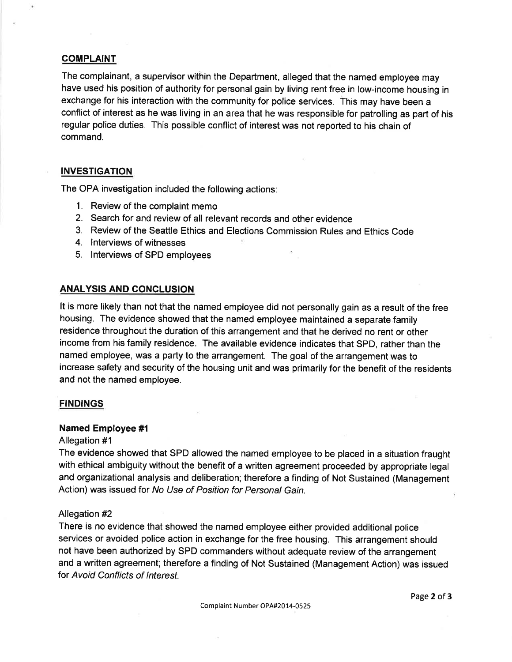## **COMPLAINT**

The complainant, a supervisor within the Department, alleged that the named employee may have used his position of authority for personal gain by living rent free in low-income housing in exchange for his interaction with the community for police services. This may have been a conflict of interest as he was living in an area that he was responsible for patrolling as part of his regular police duties. This possible conflict of interest was not reported to his chain of command.

## **INVESTIGATION**

The OPA investigation included the following actions:

- 1. Review of the complaint memo
- 2. Search for and review of all relevant records and other evidence
- 3. Review of the Seattle Ethics and Elections Commission Rules and Ethics Code
- 4. lnterviews of witnesses
- 5. lnterviews of SPD employees

## ANALYSIS AND CONCLUSION

It is more likely than not that the named employee did not personally gain as a result of the free housing. The evidence showed that the named employee maintained a separate family residence throughout the duration of this arrangement and that he derived no rent or other income from his family residence. The available evidence indicates that SPD, rather than the named employee, was a party to the arrangement. The goal of the arrangement was to increase safety and security of the housing unit and was primarily for the benefit of the residents and not the named employee.

## **FINDINGS**

#### Named Employee #l

#### Allegation #1

The evidence showed that SPD allowed the named employee to be placed in a situation fraught with ethical ambiguity without the benefit of a written agreement proceeded by appropriate legal and organizational analysis and deliberation; therefore a finding of Not Sustained (Management Action) was issued for No Use of Position for Personal Gain.

#### Allegation #2

There is no evidence that showed the named employee either provided additional police services or avoided police action in exchange for the free housing. This arrangement should not have been authorized by SPD commanders without adequate review of the arrangement and a written agreement; therefore a finding of Not Sustained (Management Action) was issued for Avoid Conflicts of lnterest.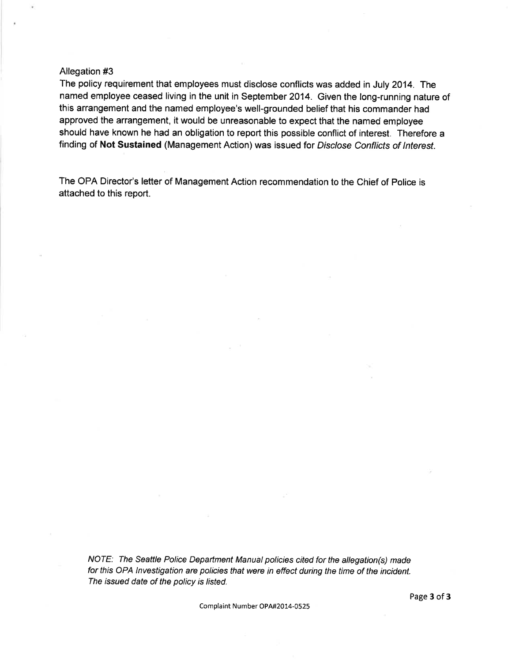#### Allegation #3

The policy requirement that employees must disclose conflicts was added in July 2014. The named employee ceased living in the unit in September 2014. Given the long-running nature of this arrangement and the named employee's well-grounded belief that his commander had approved the arrangement, it would be unreasonable to expect that the named employee should have known he had an obligation to report this possible conflict of interest. Therefore a finding of Not Sustained (Management Action) was issued for Disclose Conflicts of Interest.

The OPA Director's letter of Management Action recommendation to the Chief of Police is attached to this report.

NOTE: The Seattle Police Department Manual policies cited for the allegation(s) made for this OPA lnvestigation are policies that were in effect during the time of the incident. The issued date of the policy is listed.

Complaint Number OPA#2014-0525

Page 3 of 3